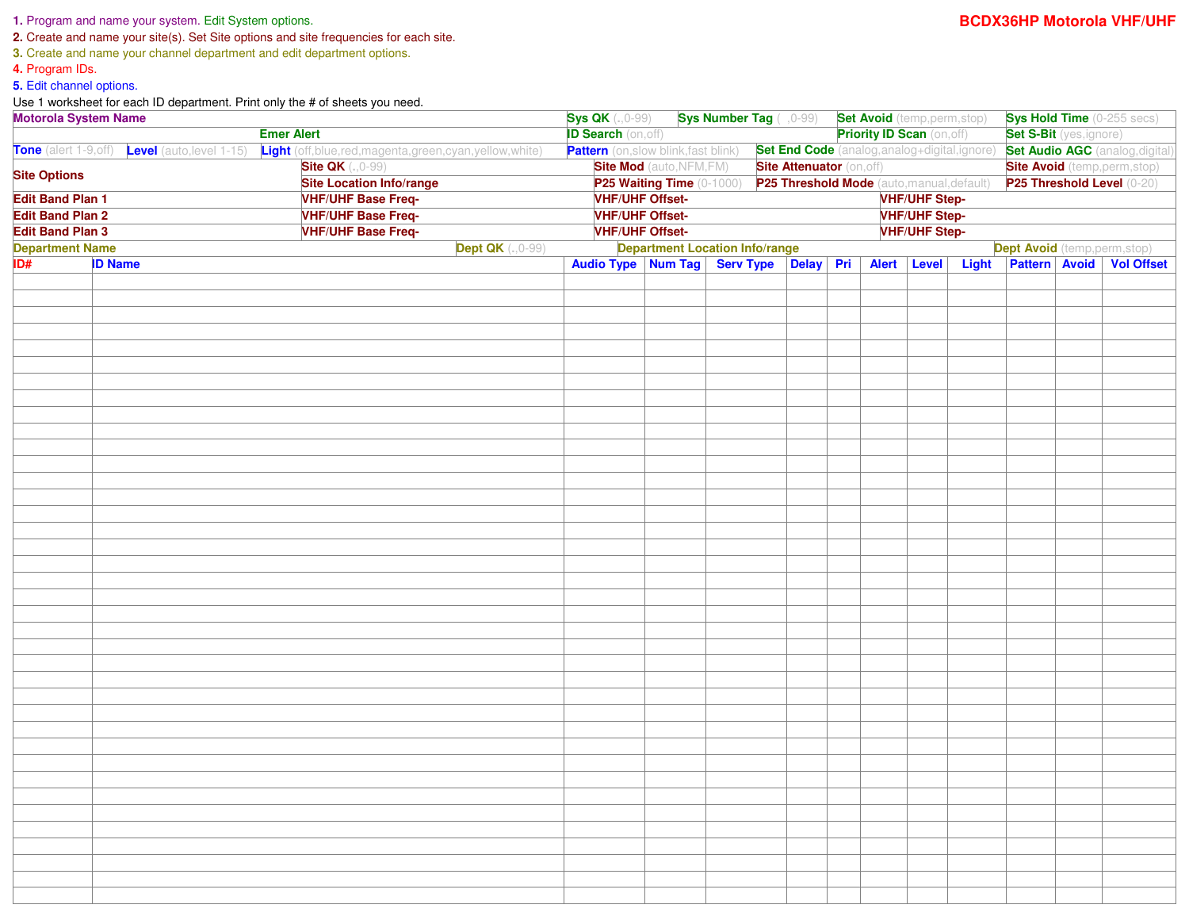## **1.** Program and name your system. Edit System options.

**2.** Create and name your site(s). Set Site options and site frequencies for each site.

**3.** Create and name your channel department and edit department options.

**4.** Program IDs.

**5.** Edit channel options.

Use 1 worksheet for each ID department. Print only the # of sheets you need.

| Motorola System Name<br><b>Emer Alert</b>                                                                                                                                                                                     |  |  |                                                                     | <b>Sys QK</b> $(.0-99)$<br><b>Sys Number Tag</b> ( ,0-99) <b>Set Avoid</b> (temp,perm,stop)<br><b>ID Search (on, off)</b><br><b>Priority ID Scan</b> (on, off) |                                           |  |                                        |  |  |                                               |                                                                    | <b>Sys Hold Time</b> (0-255 secs)<br><b>Set S-Bit</b> (yes, ignore) |                                        |  |  |
|-------------------------------------------------------------------------------------------------------------------------------------------------------------------------------------------------------------------------------|--|--|---------------------------------------------------------------------|----------------------------------------------------------------------------------------------------------------------------------------------------------------|-------------------------------------------|--|----------------------------------------|--|--|-----------------------------------------------|--------------------------------------------------------------------|---------------------------------------------------------------------|----------------------------------------|--|--|
| Tone (alert 1-9,off) Level (auto, level 1-15)                                                                                                                                                                                 |  |  |                                                                     |                                                                                                                                                                |                                           |  |                                        |  |  |                                               |                                                                    |                                                                     |                                        |  |  |
| Light (off,blue,red,magenta,green,cyan,yellow,white)<br><b>Site QK</b> (., 0-99)<br><b>Site Options</b><br><b>Site Location Info/range</b><br><b>VHF/UHF Base Freq-</b><br><b>Edit Band Plan 1</b><br><b>Edit Band Plan 2</b> |  |  |                                                                     |                                                                                                                                                                | <b>Pattern</b> (on,slow blink,fast blink) |  |                                        |  |  | Set End Code (analog, analog+digital, ignore) |                                                                    |                                                                     | <b>Set Audio AGC</b> (analog, digital) |  |  |
|                                                                                                                                                                                                                               |  |  | <b>Site Mod</b> (auto, NFM, FM)<br><b>Site Attenuator (on, off)</b> |                                                                                                                                                                |                                           |  |                                        |  |  |                                               | <b>Site Avoid</b> (temp, perm, stop)<br>P25 Threshold Level (0-20) |                                                                     |                                        |  |  |
|                                                                                                                                                                                                                               |  |  |                                                                     | P25 Waiting Time (0-1000) P25 Threshold Mode (auto, manual, default)<br><b>VHF/UHF Step-</b>                                                                   |                                           |  |                                        |  |  |                                               |                                                                    |                                                                     |                                        |  |  |
|                                                                                                                                                                                                                               |  |  | <b>VHF/UHF Offset-</b>                                              |                                                                                                                                                                |                                           |  |                                        |  |  |                                               |                                                                    |                                                                     |                                        |  |  |
| <b>VHF/UHF Base Freq-</b><br><b>Edit Band Plan 3</b>                                                                                                                                                                          |  |  |                                                                     | <b>VHF/UHF Step-</b><br><b>VHF/UHF Offset-</b><br><b>VHF/UHF Offset-</b><br><b>VHF/UHF Step-</b>                                                               |                                           |  |                                        |  |  |                                               |                                                                    |                                                                     |                                        |  |  |
| <b>VHF/UHF Base Freq-</b><br><b>Department Name</b><br><b>Dept QK</b> (., 0-99)                                                                                                                                               |  |  |                                                                     | <b>Department Location Info/range</b><br><b>Dept Avoid</b> (temp,perm,stop)                                                                                    |                                           |  |                                        |  |  |                                               |                                                                    |                                                                     |                                        |  |  |
| ID#<br><b>ID Name</b>                                                                                                                                                                                                         |  |  |                                                                     |                                                                                                                                                                |                                           |  | Audio Type Num Tag Serv Type Delay Pri |  |  | Alert Level                                   |                                                                    | Light Pattern Avoid Vol Offset                                      |                                        |  |  |
|                                                                                                                                                                                                                               |  |  |                                                                     |                                                                                                                                                                |                                           |  |                                        |  |  |                                               |                                                                    |                                                                     |                                        |  |  |
|                                                                                                                                                                                                                               |  |  |                                                                     |                                                                                                                                                                |                                           |  |                                        |  |  |                                               |                                                                    |                                                                     |                                        |  |  |
|                                                                                                                                                                                                                               |  |  |                                                                     |                                                                                                                                                                |                                           |  |                                        |  |  |                                               |                                                                    |                                                                     |                                        |  |  |
|                                                                                                                                                                                                                               |  |  |                                                                     |                                                                                                                                                                |                                           |  |                                        |  |  |                                               |                                                                    |                                                                     |                                        |  |  |
|                                                                                                                                                                                                                               |  |  |                                                                     |                                                                                                                                                                |                                           |  |                                        |  |  |                                               |                                                                    |                                                                     |                                        |  |  |
|                                                                                                                                                                                                                               |  |  |                                                                     |                                                                                                                                                                |                                           |  |                                        |  |  |                                               |                                                                    |                                                                     |                                        |  |  |
|                                                                                                                                                                                                                               |  |  |                                                                     |                                                                                                                                                                |                                           |  |                                        |  |  |                                               |                                                                    |                                                                     |                                        |  |  |
|                                                                                                                                                                                                                               |  |  |                                                                     |                                                                                                                                                                |                                           |  |                                        |  |  |                                               |                                                                    |                                                                     |                                        |  |  |
|                                                                                                                                                                                                                               |  |  |                                                                     |                                                                                                                                                                |                                           |  |                                        |  |  |                                               |                                                                    |                                                                     |                                        |  |  |
|                                                                                                                                                                                                                               |  |  |                                                                     |                                                                                                                                                                |                                           |  |                                        |  |  |                                               |                                                                    |                                                                     |                                        |  |  |
|                                                                                                                                                                                                                               |  |  |                                                                     |                                                                                                                                                                |                                           |  |                                        |  |  |                                               |                                                                    |                                                                     |                                        |  |  |
|                                                                                                                                                                                                                               |  |  |                                                                     |                                                                                                                                                                |                                           |  |                                        |  |  |                                               |                                                                    |                                                                     |                                        |  |  |
|                                                                                                                                                                                                                               |  |  |                                                                     |                                                                                                                                                                |                                           |  |                                        |  |  |                                               |                                                                    |                                                                     |                                        |  |  |
|                                                                                                                                                                                                                               |  |  |                                                                     |                                                                                                                                                                |                                           |  |                                        |  |  |                                               |                                                                    |                                                                     |                                        |  |  |
|                                                                                                                                                                                                                               |  |  |                                                                     |                                                                                                                                                                |                                           |  |                                        |  |  |                                               |                                                                    |                                                                     |                                        |  |  |
|                                                                                                                                                                                                                               |  |  |                                                                     |                                                                                                                                                                |                                           |  |                                        |  |  |                                               |                                                                    |                                                                     |                                        |  |  |
|                                                                                                                                                                                                                               |  |  |                                                                     |                                                                                                                                                                |                                           |  |                                        |  |  |                                               |                                                                    |                                                                     |                                        |  |  |
|                                                                                                                                                                                                                               |  |  |                                                                     |                                                                                                                                                                |                                           |  |                                        |  |  |                                               |                                                                    |                                                                     |                                        |  |  |
|                                                                                                                                                                                                                               |  |  |                                                                     |                                                                                                                                                                |                                           |  |                                        |  |  |                                               |                                                                    |                                                                     |                                        |  |  |
|                                                                                                                                                                                                                               |  |  |                                                                     |                                                                                                                                                                |                                           |  |                                        |  |  |                                               |                                                                    |                                                                     |                                        |  |  |
|                                                                                                                                                                                                                               |  |  |                                                                     |                                                                                                                                                                |                                           |  |                                        |  |  |                                               |                                                                    |                                                                     |                                        |  |  |
|                                                                                                                                                                                                                               |  |  |                                                                     |                                                                                                                                                                |                                           |  |                                        |  |  |                                               |                                                                    |                                                                     |                                        |  |  |
|                                                                                                                                                                                                                               |  |  |                                                                     |                                                                                                                                                                |                                           |  |                                        |  |  |                                               |                                                                    |                                                                     |                                        |  |  |
|                                                                                                                                                                                                                               |  |  |                                                                     |                                                                                                                                                                |                                           |  |                                        |  |  |                                               |                                                                    |                                                                     |                                        |  |  |
|                                                                                                                                                                                                                               |  |  |                                                                     |                                                                                                                                                                |                                           |  |                                        |  |  |                                               |                                                                    |                                                                     |                                        |  |  |
|                                                                                                                                                                                                                               |  |  |                                                                     |                                                                                                                                                                |                                           |  |                                        |  |  |                                               |                                                                    |                                                                     |                                        |  |  |
|                                                                                                                                                                                                                               |  |  |                                                                     |                                                                                                                                                                |                                           |  |                                        |  |  |                                               |                                                                    |                                                                     |                                        |  |  |
|                                                                                                                                                                                                                               |  |  |                                                                     |                                                                                                                                                                |                                           |  |                                        |  |  |                                               |                                                                    |                                                                     |                                        |  |  |
|                                                                                                                                                                                                                               |  |  |                                                                     |                                                                                                                                                                |                                           |  |                                        |  |  |                                               |                                                                    |                                                                     |                                        |  |  |
|                                                                                                                                                                                                                               |  |  |                                                                     |                                                                                                                                                                |                                           |  |                                        |  |  |                                               |                                                                    |                                                                     |                                        |  |  |
|                                                                                                                                                                                                                               |  |  |                                                                     |                                                                                                                                                                |                                           |  |                                        |  |  |                                               |                                                                    |                                                                     |                                        |  |  |
|                                                                                                                                                                                                                               |  |  |                                                                     |                                                                                                                                                                |                                           |  |                                        |  |  |                                               |                                                                    |                                                                     |                                        |  |  |
|                                                                                                                                                                                                                               |  |  |                                                                     |                                                                                                                                                                |                                           |  |                                        |  |  |                                               |                                                                    |                                                                     |                                        |  |  |
|                                                                                                                                                                                                                               |  |  |                                                                     |                                                                                                                                                                |                                           |  |                                        |  |  |                                               |                                                                    |                                                                     |                                        |  |  |
|                                                                                                                                                                                                                               |  |  |                                                                     |                                                                                                                                                                |                                           |  |                                        |  |  |                                               |                                                                    |                                                                     |                                        |  |  |
|                                                                                                                                                                                                                               |  |  |                                                                     |                                                                                                                                                                |                                           |  |                                        |  |  |                                               |                                                                    |                                                                     |                                        |  |  |
|                                                                                                                                                                                                                               |  |  |                                                                     |                                                                                                                                                                |                                           |  |                                        |  |  |                                               |                                                                    |                                                                     |                                        |  |  |
|                                                                                                                                                                                                                               |  |  |                                                                     |                                                                                                                                                                |                                           |  |                                        |  |  |                                               |                                                                    |                                                                     |                                        |  |  |